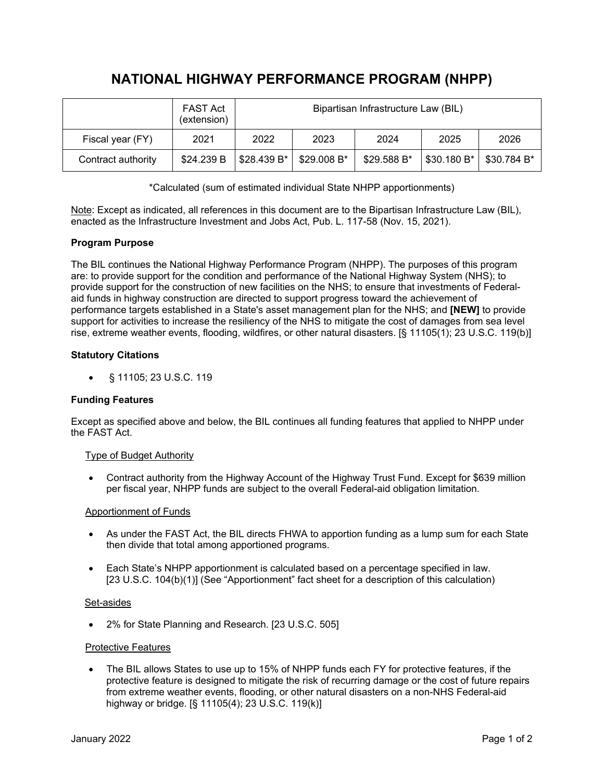# **NATIONAL HIGHWAY PERFORMANCE PROGRAM (NHPP)**

|                    | <b>FAST Act</b><br>(extension) | Bipartisan Infrastructure Law (BIL) |             |              |             |             |
|--------------------|--------------------------------|-------------------------------------|-------------|--------------|-------------|-------------|
| Fiscal year (FY)   | 2021                           | 2022                                | 2023        | 2024         | 2025        | 2026        |
| Contract authority | \$24.239 B                     | \$28.439 B*                         | \$29.008 B* | $$29.588 B*$ | \$30.180 B* | \$30.784 B* |

\*Calculated (sum of estimated individual State NHPP apportionments)

Note: Except as indicated, all references in this document are to the Bipartisan Infrastructure Law (BIL), enacted as the Infrastructure Investment and Jobs Act, Pub. L. 117-58 (Nov. 15, 2021).

## **Program Purpose**

The BIL continues the National Highway Performance Program (NHPP). The purposes of this program are: to provide support for the condition and performance of the National Highway System (NHS); to provide support for the construction of new facilities on the NHS; to ensure that investments of Federalaid funds in highway construction are directed to support progress toward the achievement of performance targets established in a State's asset management plan for the NHS; and **[NEW]** to provide support for activities to increase the resiliency of the NHS to mitigate the cost of damages from sea level rise, extreme weather events, flooding, wildfires, or other natural disasters. [§ 11105(1); 23 U.S.C. 119(b)]

## **Statutory Citations**

• § 11105; 23 U.S.C. 119

## **Funding Features**

Except as specified above and below, the BIL continues all funding features that applied to NHPP under the FAST Act.

## Type of Budget Authority

• Contract authority from the Highway Account of the Highway Trust Fund. Except for \$639 million per fiscal year, NHPP funds are subject to the overall Federal-aid obligation limitation.

## Apportionment of Funds

- As under the FAST Act, the BIL directs FHWA to apportion funding as a lump sum for each State then divide that total among apportioned programs.
- Each State's NHPP apportionment is calculated based on a percentage specified in law. [23 U.S.C. 104(b)(1)] (See "Apportionment" fact sheet for a description of this calculation)

## Set-asides

• 2% for State Planning and Research. [23 U.S.C. 505]

## Protective Features

• The BIL allows States to use up to 15% of NHPP funds each FY for protective features, if the protective feature is designed to mitigate the risk of recurring damage or the cost of future repairs from extreme weather events, flooding, or other natural disasters on a non-NHS Federal-aid highway or bridge. [§ 11105(4); 23 U.S.C. 119(k)]